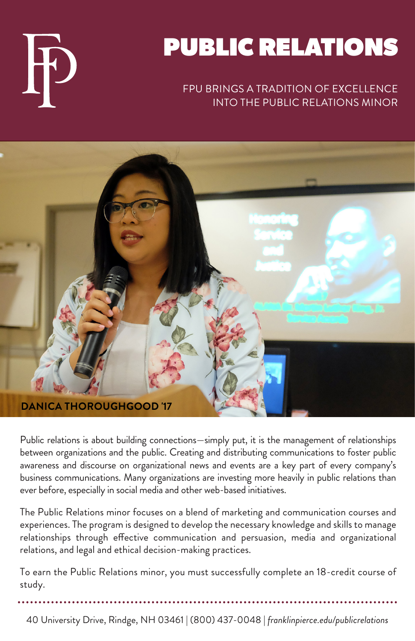

# PUBLIC RELATIONS

### FPU BRINGS A TRADITION OF EXCELLENCE INTO THE PUBLIC RELATIONS MINOR



Public relations is about building connections—simply put, it is the management of relationships between organizations and the public. Creating and distributing communications to foster public awareness and discourse on organizational news and events are a key part of every company's business communications. Many organizations are investing more heavily in public relations than ever before, especially in social media and other web-based initiatives.

The Public Relations minor focuses on a blend of marketing and communication courses and experiences. The program is designed to develop the necessary knowledge and skills to manage relationships through effective communication and persuasion, media and organizational relations, and legal and ethical decision-making practices.

To earn the Public Relations minor, you must successfully complete an 18-credit course of study.

40 University Drive, Rindge, NH 03461 | (800) 437-0048 | *franklinpierce.edu/publicrelations*